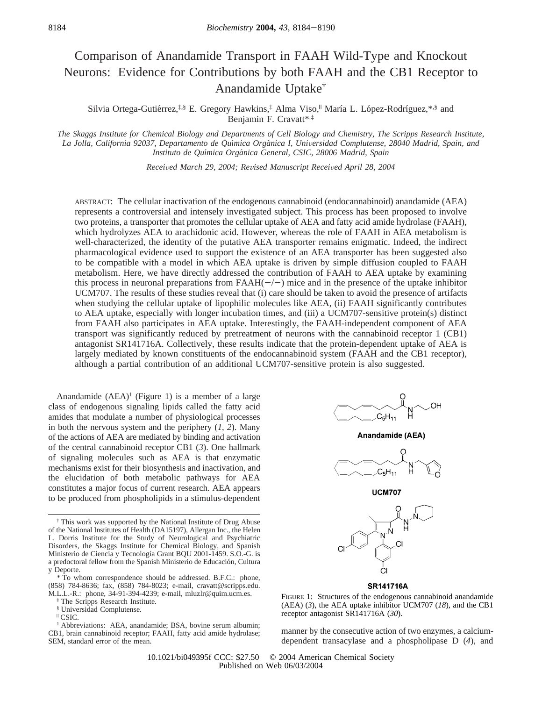# Comparison of Anandamide Transport in FAAH Wild-Type and Knockout Neurons: Evidence for Contributions by both FAAH and the CB1 Receptor to Anandamide Uptake†

Silvia Ortega-Gutiérrez,<sup>‡,§</sup> E. Gregory Hawkins,<sup>‡</sup> Alma Viso,<sup>||</sup> María L. López-Rodríguez,\*<sup>,§</sup> and Benjamin F. Cravatt\*,‡

*The Skaggs Institute for Chemical Biology and Departments of Cell Biology and Chemistry, The Scripps Research Institute, La Jolla, California 92037, Departamento de Quı*´*mica Orga*´*nica I, Uni*V*ersidad Complutense, 28040 Madrid, Spain, and Instituto de Quı*´*mica Orga*´*nica General, CSIC, 28006 Madrid, Spain*

*Recei*V*ed March 29, 2004; Re*V*ised Manuscript Recei*V*ed April 28, 2004*

ABSTRACT: The cellular inactivation of the endogenous cannabinoid (endocannabinoid) anandamide (AEA) represents a controversial and intensely investigated subject. This process has been proposed to involve two proteins, a transporter that promotes the cellular uptake of AEA and fatty acid amide hydrolase (FAAH), which hydrolyzes AEA to arachidonic acid. However, whereas the role of FAAH in AEA metabolism is well-characterized, the identity of the putative AEA transporter remains enigmatic. Indeed, the indirect pharmacological evidence used to support the existence of an AEA transporter has been suggested also to be compatible with a model in which AEA uptake is driven by simple diffusion coupled to FAAH metabolism. Here, we have directly addressed the contribution of FAAH to AEA uptake by examining this process in neuronal preparations from  $FAAH(-/-)$  mice and in the presence of the uptake inhibitor UCM707. The results of these studies reveal that (i) care should be taken to avoid the presence of artifacts when studying the cellular uptake of lipophilic molecules like AEA, (ii) FAAH significantly contributes to AEA uptake, especially with longer incubation times, and (iii) a UCM707-sensitive protein(s) distinct from FAAH also participates in AEA uptake. Interestingly, the FAAH-independent component of AEA transport was significantly reduced by pretreatment of neurons with the cannabinoid receptor 1 (CB1) antagonist SR141716A. Collectively, these results indicate that the protein-dependent uptake of AEA is largely mediated by known constituents of the endocannabinoid system (FAAH and the CB1 receptor), although a partial contribution of an additional UCM707-sensitive protein is also suggested.

Anandamide  $(AEA)^1$  (Figure 1) is a member of a large class of endogenous signaling lipids called the fatty acid amides that modulate a number of physiological processes in both the nervous system and the periphery (*1*, *2*). Many of the actions of AEA are mediated by binding and activation of the central cannabinoid receptor CB1 (*3*). One hallmark of signaling molecules such as AEA is that enzymatic mechanisms exist for their biosynthesis and inactivation, and the elucidation of both metabolic pathways for AEA constitutes a major focus of current research. AEA appears to be produced from phospholipids in a stimulus-dependent



Anandamide (AEA)







#### **SR141716A**

FIGURE 1: Structures of the endogenous cannabinoid anandamide (AEA) (*3*), the AEA uptake inhibitor UCM707 (*18*), and the CB1 receptor antagonist SR141716A (*30*).

manner by the consecutive action of two enzymes, a calciumdependent transacylase and a phospholipase D (*4*), and

<sup>†</sup> This work was supported by the National Institute of Drug Abuse of the National Institutes of Health (DA15197), Allergan Inc., the Helen L. Dorris Institute for the Study of Neurological and Psychiatric Disorders, the Skaggs Institute for Chemical Biology, and Spanish Ministerio de Ciencia y Tecnología Grant BQU 2001-1459. S.O.-G. is a predoctoral fellow from the Spanish Ministerio de Educación, Cultura y Deporte.

<sup>\*</sup> To whom correspondence should be addressed. B.F.C.: phone, (858) 784-8636; fax, (858) 784-8023; e-mail, cravatt@scripps.edu. M.L.L.-R.: phone, 34-91-394-4239; e-mail, mluzlr@quim.ucm.es.

<sup>‡</sup> The Scripps Research Institute.

<sup>§</sup> Universidad Complutense.

 $\mathsf{^{II}}$  CSIC.

<sup>&</sup>lt;sup>1</sup> Abbreviations: AEA, anandamide; BSA, bovine serum albumin; CB1, brain cannabinoid receptor; FAAH, fatty acid amide hydrolase; SEM, standard error of the mean.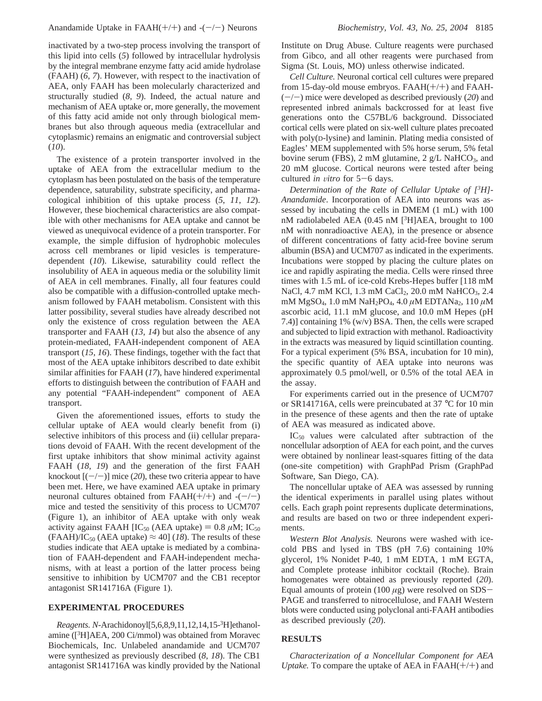inactivated by a two-step process involving the transport of this lipid into cells (*5*) followed by intracellular hydrolysis by the integral membrane enzyme fatty acid amide hydrolase (FAAH) (*6*, *7*). However, with respect to the inactivation of AEA, only FAAH has been molecularly characterized and structurally studied (*8*, *9*). Indeed, the actual nature and mechanism of AEA uptake or, more generally, the movement of this fatty acid amide not only through biological membranes but also through aqueous media (extracellular and cytoplasmic) remains an enigmatic and controversial subject (*10*).

The existence of a protein transporter involved in the uptake of AEA from the extracellular medium to the cytoplasm has been postulated on the basis of the temperature dependence, saturability, substrate specificity, and pharmacological inhibition of this uptake process (*5*, *11*, *12*). However, these biochemical characteristics are also compatible with other mechanisms for AEA uptake and cannot be viewed as unequivocal evidence of a protein transporter. For example, the simple diffusion of hydrophobic molecules across cell membranes or lipid vesicles is temperaturedependent (*10*). Likewise, saturability could reflect the insolubility of AEA in aqueous media or the solubility limit of AEA in cell membranes. Finally, all four features could also be compatible with a diffusion-controlled uptake mechanism followed by FAAH metabolism. Consistent with this latter possibility, several studies have already described not only the existence of cross regulation between the AEA transporter and FAAH (*13*, *14*) but also the absence of any protein-mediated, FAAH-independent component of AEA transport (*15*, *16*). These findings, together with the fact that most of the AEA uptake inhibitors described to date exhibit similar affinities for FAAH (*17*), have hindered experimental efforts to distinguish between the contribution of FAAH and any potential "FAAH-independent" component of AEA transport.

Given the aforementioned issues, efforts to study the cellular uptake of AEA would clearly benefit from (i) selective inhibitors of this process and (ii) cellular preparations devoid of FAAH. With the recent development of the first uptake inhibitors that show minimal activity against FAAH (*18*, *19*) and the generation of the first FAAH knockout  $[(-/-)]$  mice (20), these two criteria appear to have been met. Here, we have examined AEA uptake in primary neuronal cultures obtained from  $FAAH(+/+)$  and  $-(-/-)$ mice and tested the sensitivity of this process to UCM707 (Figure 1), an inhibitor of AEA uptake with only weak activity against FAAH  $\text{IC}_{50}$  (AEA uptake) = 0.8  $\mu$ M; IC<sub>50</sub>  $(FAAH)/IC_{50}$  (AEA uptake)  $\approx$  40] (18). The results of these studies indicate that AEA uptake is mediated by a combination of FAAH-dependent and FAAH-independent mechanisms, with at least a portion of the latter process being sensitive to inhibition by UCM707 and the CB1 receptor antagonist SR141716A (Figure 1).

## **EXPERIMENTAL PROCEDURES**

*Reagents. N*-Arachidonoyl[5,6,8,9,11,12,14,15-3 H]ethanolamine ([3 H]AEA, 200 Ci/mmol) was obtained from Moravec Biochemicals, Inc. Unlabeled anandamide and UCM707 were synthesized as previously described (*8*, *18*). The CB1 antagonist SR141716A was kindly provided by the National Institute on Drug Abuse. Culture reagents were purchased from Gibco, and all other reagents were purchased from Sigma (St. Louis, MO) unless otherwise indicated.

*Cell Culture.* Neuronal cortical cell cultures were prepared from 15-day-old mouse embryos. FAAH(+/+) and FAAH- (-/-) mice were developed as described previously (*20*) and represented inbred animals backcrossed for at least five generations onto the C57BL/6 background. Dissociated cortical cells were plated on six-well culture plates precoated with poly(D-lysine) and laminin. Plating media consisted of Eagles' MEM supplemented with 5% horse serum, 5% fetal bovine serum (FBS), 2 mM glutamine, 2 g/L NaHCO<sub>3</sub>, and 20 mM glucose. Cortical neurons were tested after being cultured *in vitro* for 5-6 days.

*Determination of the Rate of Cellular Uptake of [3 H]- Anandamide*. Incorporation of AEA into neurons was assessed by incubating the cells in DMEM (1 mL) with 100 nM radiolabeled AEA (0.45 nM [<sup>3</sup>H]AEA, brought to 100 nM with nonradioactive AEA), in the presence or absence of different concentrations of fatty acid-free bovine serum albumin (BSA) and UCM707 as indicated in the experiments. Incubations were stopped by placing the culture plates on ice and rapidly aspirating the media. Cells were rinsed three times with 1.5 mL of ice-cold Krebs-Hepes buffer [118 mM NaCl, 4.7 mM KCl, 1.3 mM CaCl<sub>2</sub>, 20.0 mM NaHCO<sub>3</sub>, 2.4 mM MgSO4, 1.0 mM NaH2PO4, 4.0 *µ*M EDTANa2, 110 *µ*M ascorbic acid, 11.1 mM glucose, and 10.0 mM Hepes (pH 7.4)] containing 1% (w/v) BSA. Then, the cells were scraped and subjected to lipid extraction with methanol. Radioactivity in the extracts was measured by liquid scintillation counting. For a typical experiment (5% BSA, incubation for 10 min), the specific quantity of AEA uptake into neurons was approximately 0.5 pmol/well, or 0.5% of the total AEA in the assay.

For experiments carried out in the presence of UCM707 or SR141716A, cells were preincubated at 37 °C for 10 min in the presence of these agents and then the rate of uptake of AEA was measured as indicated above.

IC50 values were calculated after subtraction of the noncellular adsorption of AEA for each point, and the curves were obtained by nonlinear least-squares fitting of the data (one-site competition) with GraphPad Prism (GraphPad Software, San Diego, CA).

The noncellular uptake of AEA was assessed by running the identical experiments in parallel using plates without cells. Each graph point represents duplicate determinations, and results are based on two or three independent experiments.

*Western Blot Analysis.* Neurons were washed with icecold PBS and lysed in TBS (pH 7.6) containing 10% glycerol, 1% Nonidet P-40, 1 mM EDTA, 1 mM EGTA, and Complete protease inhibitor cocktail (Roche). Brain homogenates were obtained as previously reported (*20*). Equal amounts of protein (100 *<sup>µ</sup>*g) were resolved on SDS-PAGE and transferred to nitrocellulose, and FAAH Western blots were conducted using polyclonal anti-FAAH antibodies as described previously (*20*).

### **RESULTS**

*Characterization of a Noncellular Component for AEA Uptake.* To compare the uptake of AEA in  $FAAH(+/+)$  and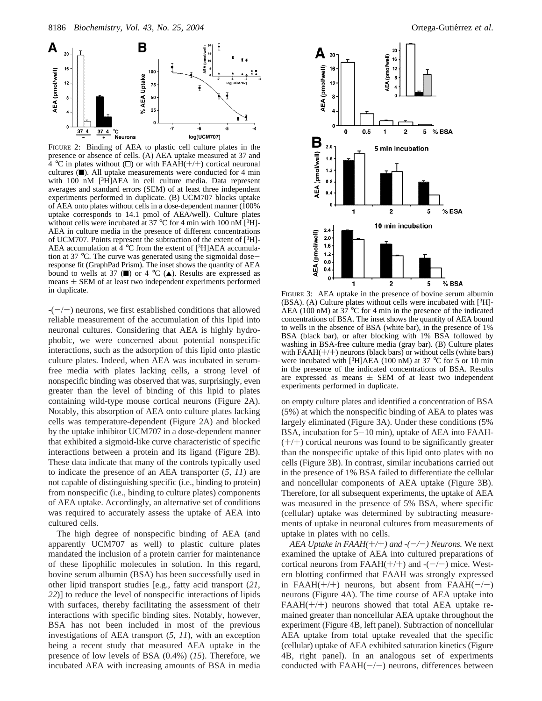

FIGURE 2: Binding of AEA to plastic cell culture plates in the presence or absence of cells. (A) AEA uptake measured at 37 and  $4 °C$  in plates without ( $\square$ ) or with FAAH(+/+) cortical neuronal cultures  $(\blacksquare)$ . All uptake measurements were conducted for 4 min with 100 nM <sup>[3</sup>H]AEA in cell culture media. Data represent averages and standard errors (SEM) of at least three independent experiments performed in duplicate. (B) UCM707 blocks uptake of AEA onto plates without cells in a dose-dependent manner (100% uptake corresponds to 14.1 pmol of AEA/well). Culture plates without cells were incubated at 37 °C for 4 min with 100 nM  $[3H]$ -AEA in culture media in the presence of different concentrations of UCM707. Points represent the subtraction of the extent of  $[3H]$ -AEA accumulation at  $4^{\circ}$ C from the extent of [<sup>3</sup>H]AEA accumulation at 37 °C. The curve was generated using the sigmoidal doseresponse fit (GraphPad Prism). The inset shows the quantity of AEA bound to wells at 37 ( $\blacksquare$ ) or 4 °C ( $\blacktriangle$ ). Results are expressed as means  $\pm$  SEM of at least two independent experiments performed in duplicate.

 $-(-/-)$  neurons, we first established conditions that allowed reliable measurement of the accumulation of this lipid into neuronal cultures. Considering that AEA is highly hydrophobic, we were concerned about potential nonspecific interactions, such as the adsorption of this lipid onto plastic culture plates. Indeed, when AEA was incubated in serumfree media with plates lacking cells, a strong level of nonspecific binding was observed that was, surprisingly, even greater than the level of binding of this lipid to plates containing wild-type mouse cortical neurons (Figure 2A). Notably, this absorption of AEA onto culture plates lacking cells was temperature-dependent (Figure 2A) and blocked by the uptake inhibitor UCM707 in a dose-dependent manner that exhibited a sigmoid-like curve characteristic of specific interactions between a protein and its ligand (Figure 2B). These data indicate that many of the controls typically used to indicate the presence of an AEA transporter (*5*, *11*) are not capable of distinguishing specific (i.e., binding to protein) from nonspecific (i.e., binding to culture plates) components of AEA uptake. Accordingly, an alternative set of conditions was required to accurately assess the uptake of AEA into cultured cells.

The high degree of nonspecific binding of AEA (and apparently UCM707 as well) to plastic culture plates mandated the inclusion of a protein carrier for maintenance of these lipophilic molecules in solution. In this regard, bovine serum albumin (BSA) has been successfully used in other lipid transport studies [e.g., fatty acid transport (*21*, *22*)] to reduce the level of nonspecific interactions of lipids with surfaces, thereby facilitating the assessment of their interactions with specific binding sites. Notably, however, BSA has not been included in most of the previous investigations of AEA transport (*5*, *11*), with an exception being a recent study that measured AEA uptake in the presence of low levels of BSA (0.4%) (*15*). Therefore, we incubated AEA with increasing amounts of BSA in media



**in duplicate. FIGURE 3:** AEA uptake in the presence of bovine serum albumin  $(BSA)$ . (A) Culture plates without cells were incubated with  $[3H]$ -AEA (100 nM) at  $37^{\circ}$ C for 4 min in the presence of the indicated concentrations of BSA. The inset shows the quantity of AEA bound to wells in the absence of BSA (white bar), in the presence of 1% BSA (black bar), or after blocking with 1% BSA followed by washing in BSA-free culture media (gray bar). (B) Culture plates with  $FAAH(+/+)$  neurons (black bars) or without cells (white bars) were incubated with [ $3H$ ]AEA (100 nM) at 37 °C for 5 or 10 min in the presence of the indicated concentrations of BSA. Results are expressed as means  $\pm$  SEM of at least two independent experiments performed in duplicate.

on empty culture plates and identified a concentration of BSA (5%) at which the nonspecific binding of AEA to plates was largely eliminated (Figure 3A). Under these conditions (5% BSA, incubation for  $5-10$  min), uptake of AEA into FAAH- $(+/+)$  cortical neurons was found to be significantly greater than the nonspecific uptake of this lipid onto plates with no cells (Figure 3B). In contrast, similar incubations carried out in the presence of 1% BSA failed to differentiate the cellular and noncellular components of AEA uptake (Figure 3B). Therefore, for all subsequent experiments, the uptake of AEA was measured in the presence of 5% BSA, where specific (cellular) uptake was determined by subtracting measurements of uptake in neuronal cultures from measurements of uptake in plates with no cells.

*AEA Uptake in FAAH(+/+) and -(-/-) Neurons.* We next examined the uptake of AEA into cultured preparations of cortical neurons from FAAH $(+/+)$  and  $-(-/-)$  mice. Western blotting confirmed that FAAH was strongly expressed in FAAH $(+/+)$  neurons, but absent from FAAH $(-/-)$ neurons (Figure 4A). The time course of AEA uptake into  $FAAH(+/+)$  neurons showed that total AEA uptake remained greater than noncellular AEA uptake throughout the experiment (Figure 4B, left panel). Subtraction of noncellular AEA uptake from total uptake revealed that the specific (cellular) uptake of AEA exhibited saturation kinetics (Figure 4B, right panel). In an analogous set of experiments conducted with  $FAAH(-/-)$  neurons, differences between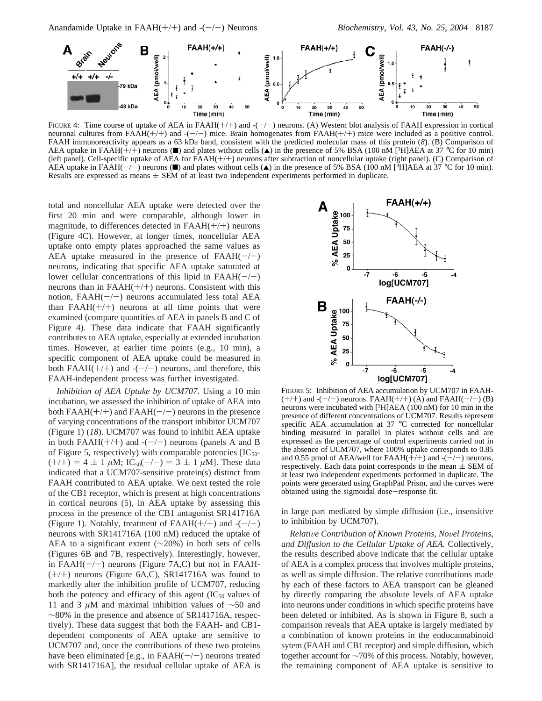

FIGURE 4: Time course of uptake of AEA in FAAH $(+/+)$  and  $-(-/-)$  neurons. (A) Western blot analysis of FAAH expression in cortical neuronal cultures from  $FAAH(+/+)$  and  $-(-)$  mice. Brain homogenates from  $FAAH(+/+)$  mice were included as a positive control. FAAH immunoreactivity appears as a 63 kDa band, consistent with the predicted molecular mass of this protein (*8*). (B) Comparison of AEA uptake in FAAH(+/+) neurons ( $\blacksquare$ ) and plates without cells ( $\blacktriangle$ ) in the presence of 5% BSA (100 nM [<sup>3</sup>H]AEA at 37 °C for 10 min) (left panel). Cell-specific uptake of AEA for FAAH(+/+) neurons after subtraction of noncellular uptake (right panel). (C) Comparison of AEA uptake in FAAH(-/-) neurons (1) and plates without cells ( $\blacktriangle$ ) in the presence of 5% BSA (100 nM [<sup>3</sup>H]AEA at 37 °C for 10 min). Results are expressed as means  $\pm$  SEM of at least two independent experiments performed in duplicate.

total and noncellular AEA uptake were detected over the first 20 min and were comparable, although lower in magnitude, to differences detected in  $FAAH(+/+)$  neurons (Figure 4C). However, at longer times, noncellular AEA uptake onto empty plates approached the same values as AEA uptake measured in the presence of  $FAAH(-/-)$ neurons, indicating that specific AEA uptake saturated at lower cellular concentrations of this lipid in  $FAAH(-/-)$ neurons than in  $FAAH(+/+)$  neurons. Consistent with this notion,  $FAAH(-/-)$  neurons accumulated less total AEA than  $FAAH(+/+)$  neurons at all time points that were examined (compare quantities of AEA in panels B and C of Figure 4). These data indicate that FAAH significantly contributes to AEA uptake, especially at extended incubation times. However, at earlier time points (e.g., 10 min), a specific component of AEA uptake could be measured in both FAAH( $+$ / $+$ ) and  $-$ ( $-$ / $-$ ) neurons, and therefore, this FAAH-independent process was further investigated.

*Inhibition of AEA Uptake by UCM707.* Using a 10 min incubation, we assessed the inhibition of uptake of AEA into both  $FAAH(+/+)$  and  $FAAH(-/-)$  neurons in the presence of varying concentrations of the transport inhibitor UCM707 (Figure 1) (*18*). UCM707 was found to inhibit AEA uptake in both FAAH $(+/+)$  and  $-(-/-)$  neurons (panels A and B of Figure 5, respectively) with comparable potencies  $[IC_{50}$ - $(+/+) = 4 \pm 1 \mu M$ ; IC<sub>50</sub>(-/-) = 3  $\pm$  1  $\mu$ M]. These data indicated that a UCM707-sensitive protein(s) distinct from FAAH contributed to AEA uptake. We next tested the role of the CB1 receptor, which is present at high concentrations in cortical neurons (5), in AEA uptake by assessing this process in the presence of the CB1 antagonist SR141716A (Figure 1). Notably, treatment of  $FAAH(+/+)$  and  $-(-/-)$ neurons with SR141716A (100 nM) reduced the uptake of AEA to a significant extent  $(\sim 20\%)$  in both sets of cells (Figures 6B and 7B, respectively). Interestingly, however, in  $FAAH(-/-)$  neurons (Figure 7A,C) but not in FAAH- $(+/+)$  neurons (Figure 6A,C), SR141716A was found to markedly alter the inhibition profile of UCM707, reducing both the potency and efficacy of this agent  $(IC_{50}$  values of 11 and 3 *µ*M and maximal inhibition values of ∼50 and ∼80% in the presence and absence of SR141716A, respectively). These data suggest that both the FAAH- and CB1 dependent components of AEA uptake are sensitive to UCM707 and, once the contributions of these two proteins have been eliminated [e.g., in  $FAAH(-/-)$  neurons treated with SR141716A], the residual cellular uptake of AEA is



FIGURE 5: Inhibition of AEA accumulation by UCM707 in FAAH-  $(+/+)$  and  $-(-/-)$  neurons. FAAH $(+/+)$  (A) and FAAH $(-/-)$  (B) neurons were incubated with [3H]AEA (100 nM) for 10 min in the presence of different concentrations of UCM707. Results represent specific AEA accumulation at 37 °C corrected for noncellular binding measured in parallel in plates without cells and are expressed as the percentage of control experiments carried out in the absence of UCM707, where 100% uptake corresponds to 0.85 and 0.55 pmol of AEA/well for FAAH $(+/+)$  and  $-(-/-)$  neurons, respectively. Each data point corresponds to the mean  $\pm$  SEM of at least two independent experiments performed in duplicate. The points were generated using GraphPad Prism, and the curves were obtained using the sigmoidal dose-response fit.

in large part mediated by simple diffusion (i.e., insensitive to inhibition by UCM707).

*Relati*V*e Contribution of Known Proteins, No*V*el Proteins, and Diffusion to the Cellular Uptake of AEA.* Collectively, the results described above indicate that the cellular uptake of AEA is a complex process that involves multiple proteins, as well as simple diffusion. The relative contributions made by each of these factors to AEA transport can be gleaned by directly comparing the absolute levels of AEA uptake into neurons under conditions in which specific proteins have been deleted or inhibited. As is shown in Figure 8, such a comparison reveals that AEA uptake is largely mediated by a combination of known proteins in the endocannabinoid sytem (FAAH and CB1 receptor) and simple diffusion, which together account for ∼70% of this process. Notably, however, the remaining component of AEA uptake is sensitive to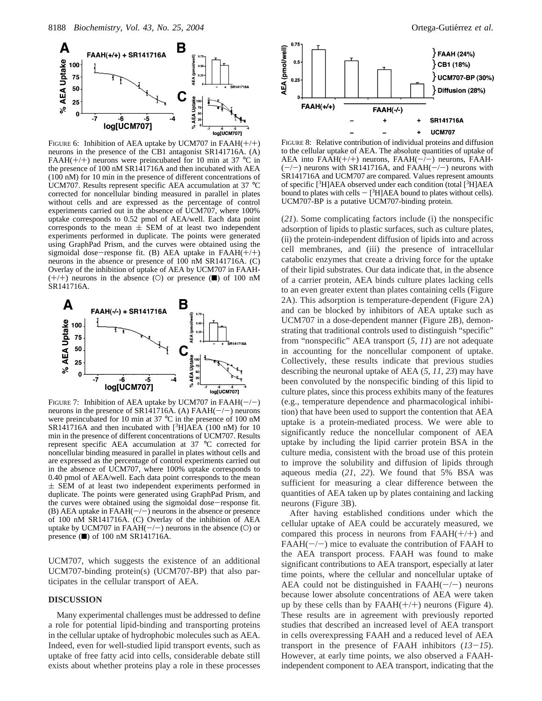

FIGURE 6: Inhibition of AEA uptake by UCM707 in  $FAAH(+/+)$ neurons in the presence of the CB1 antagonist SR141716A. (A) FAAH(+/+) neurons were preincubated for 10 min at 37  $^{\circ}$ C in the presence of 100 nM SR141716A and then incubated with AEA (100 nM) for 10 min in the presence of different concentrations of UCM707. Results represent specific AEA accumulation at 37 °C corrected for noncellular binding measured in parallel in plates without cells and are expressed as the percentage of control experiments carried out in the absence of UCM707, where 100% uptake corresponds to 0.52 pmol of AEA/well. Each data point corresponds to the mean  $\pm$  SEM of at least two independent experiments performed in duplicate. The points were generated using GraphPad Prism, and the curves were obtained using the sigmoidal dose-response fit. (B) AEA uptake in  $FAAH(+/+)$ neurons in the absence or presence of 100 nM SR141716A. (C) Overlay of the inhibition of uptake of AEA by UCM707 in FAAH-  $(+/+)$  neurons in the absence (O) or presence ( $\blacksquare$ ) of 100 nM SR141716A.



FIGURE 7: Inhibition of AEA uptake by UCM707 in FAAH( $-/-$ ) neurons in the presence of SR141716A. (A) FAAH( $-/-$ ) neurons neurons in the presence of SR141716A. (A) FAAH( $-/-$ ) neurons were preincubated for 10 min at 37 °C in the presence of 100 nM SR141716A and then incubated with  $[3H]AEA$  (100 nM) for 10 min in the presence of different concentrations of UCM707. Results represent specific AEA accumulation at 37 °C corrected for noncellular binding measured in parallel in plates without cells and are expressed as the percentage of control experiments carried out in the absence of UCM707, where 100% uptake corresponds to 0.40 pmol of AEA/well. Each data point corresponds to the mean  $\pm$  SEM of at least two independent experiments performed in duplicate. The points were generated using GraphPad Prism, and the curves were obtained using the sigmoidal dose-response fit. (B) AEA uptake in  $FAAH(-/-)$  neurons in the absence or presence of 100 nM SR141716A. (C) Overlay of the inhibition of AEA uptake by UCM707 in FAAH $(-/-)$  neurons in the absence (O) or presence  $(\blacksquare)$  of 100 nM SR141716A.

UCM707, which suggests the existence of an additional UCM707-binding protein(s) (UCM707-BP) that also participates in the cellular transport of AEA.

# **DISCUSSION**

Many experimental challenges must be addressed to define a role for potential lipid-binding and transporting proteins in the cellular uptake of hydrophobic molecules such as AEA. Indeed, even for well-studied lipid transport events, such as uptake of free fatty acid into cells, considerable debate still exists about whether proteins play a role in these processes



FIGURE 8: Relative contribution of individual proteins and diffusion to the cellular uptake of AEA. The absolute quantities of uptake of AEA into  $FAAH(+/+)$  neurons,  $FAAH(-/-)$  neurons,  $FAAH (-/-)$  neurons with SR141716A, and FAAH $(-/-)$  neurons with SR141716A and UCM707 are compared. Values represent amounts of specific [3H]AEA observed under each condition (total [3H]AEA bound to plates with cells  $-$  [<sup>3</sup>H]AEA bound to plates without cells). UCM707-BP is a putative UCM707-binding protein.

(*21*). Some complicating factors include (i) the nonspecific adsorption of lipids to plastic surfaces, such as culture plates, (ii) the protein-independent diffusion of lipids into and across cell membranes, and (iii) the presence of intracellular catabolic enzymes that create a driving force for the uptake of their lipid substrates. Our data indicate that, in the absence of a carrier protein, AEA binds culture plates lacking cells to an even greater extent than plates containing cells (Figure 2A). This adsorption is temperature-dependent (Figure 2A) and can be blocked by inhibitors of AEA uptake such as UCM707 in a dose-dependent manner (Figure 2B), demonstrating that traditional controls used to distinguish "specific" from "nonspecific" AEA transport (*5*, *11*) are not adequate in accounting for the noncellular component of uptake. Collectively, these results indicate that previous studies describing the neuronal uptake of AEA (*5*, *11*, *23*) may have been convoluted by the nonspecific binding of this lipid to culture plates, since this process exhibits many of the features (e.g., temperature dependence and pharmacological inhibition) that have been used to support the contention that AEA uptake is a protein-mediated process. We were able to significantly reduce the noncellular component of AEA uptake by including the lipid carrier protein BSA in the culture media, consistent with the broad use of this protein to improve the solubility and diffusion of lipids through aqueous media (*21*, *22*). We found that 5% BSA was sufficient for measuring a clear difference between the quantities of AEA taken up by plates containing and lacking neurons (Figure 3B).

After having established conditions under which the cellular uptake of AEA could be accurately measured, we compared this process in neurons from  $FAAH(+/+)$  and  $FAAH(-/-)$  mice to evaluate the contribution of FAAH to the AEA transport process. FAAH was found to make significant contributions to AEA transport, especially at later time points, where the cellular and noncellular uptake of AEA could not be distinguished in  $FAAH(-/-)$  neurons because lower absolute concentrations of AEA were taken up by these cells than by  $FAAH(+/+)$  neurons (Figure 4). These results are in agreement with previously reported studies that described an increased level of AEA transport in cells overexpressing FAAH and a reduced level of AEA transport in the presence of FAAH inhibitors (*13*-*15*). However, at early time points, we also observed a FAAHindependent component to AEA transport, indicating that the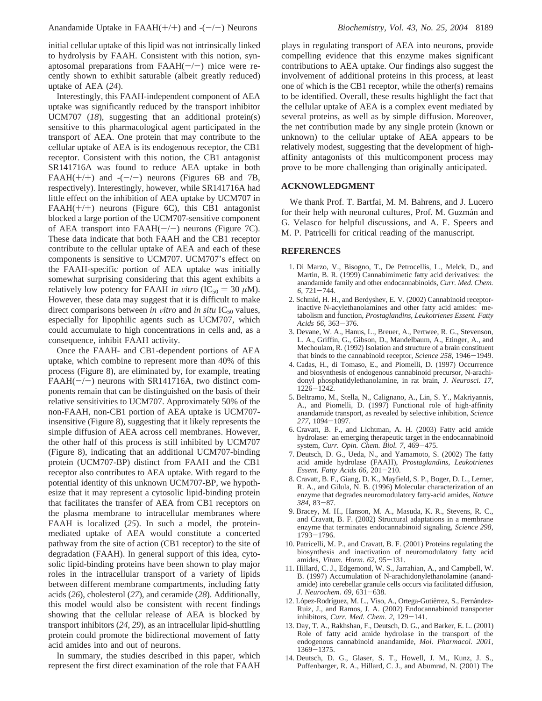initial cellular uptake of this lipid was not intrinsically linked to hydrolysis by FAAH. Consistent with this notion, synaptosomal preparations from  $FAAH(-/-)$  mice were recently shown to exhibit saturable (albeit greatly reduced) uptake of AEA (*24*).

Interestingly, this FAAH-independent component of AEA uptake was significantly reduced by the transport inhibitor UCM707 (*18*), suggesting that an additional protein(s) sensitive to this pharmacological agent participated in the transport of AEA. One protein that may contribute to the cellular uptake of AEA is its endogenous receptor, the CB1 receptor. Consistent with this notion, the CB1 antagonist SR141716A was found to reduce AEA uptake in both FAAH(+/+) and  $-(-)$  neurons (Figures 6B and 7B, respectively). Interestingly, however, while SR141716A had little effect on the inhibition of AEA uptake by UCM707 in FAAH $(+/+)$  neurons (Figure 6C), this CB1 antagonist blocked a large portion of the UCM707-sensitive component of AEA transport into  $FAAH(-/-)$  neurons (Figure 7C). These data indicate that both FAAH and the CB1 receptor contribute to the cellular uptake of AEA and each of these components is sensitive to UCM707. UCM707's effect on the FAAH-specific portion of AEA uptake was initially somewhat surprising considering that this agent exhibits a relatively low potency for FAAH *in vitro* (IC<sub>50</sub> = 30  $\mu$ M). However, these data may suggest that it is difficult to make direct comparisons between *in vitro* and *in situ*  $IC_{50}$  values, especially for lipophilic agents such as UCM707, which could accumulate to high concentrations in cells and, as a consequence, inhibit FAAH activity.

Once the FAAH- and CB1-dependent portions of AEA uptake, which combine to represent more than 40% of this process (Figure 8), are eliminated by, for example, treating  $FAAH(-/-)$  neurons with SR141716A, two distinct components remain that can be distinguished on the basis of their relative sensitivities to UCM707. Approximately 50% of the non-FAAH, non-CB1 portion of AEA uptake is UCM707 insensitive (Figure 8), suggesting that it likely represents the simple diffusion of AEA across cell membranes. However, the other half of this process is still inhibited by UCM707 (Figure 8), indicating that an additional UCM707-binding protein (UCM707-BP) distinct from FAAH and the CB1 receptor also contributes to AEA uptake. With regard to the potential identity of this unknown UCM707-BP, we hypothesize that it may represent a cytosolic lipid-binding protein that facilitates the transfer of AEA from CB1 receptors on the plasma membrane to intracellular membranes where FAAH is localized (*25*). In such a model, the proteinmediated uptake of AEA would constitute a concerted pathway from the site of action (CB1 receptor) to the site of degradation (FAAH). In general support of this idea, cytosolic lipid-binding proteins have been shown to play major roles in the intracellular transport of a variety of lipids between different membrane compartments, including fatty acids (*26*), cholesterol (*27*), and ceramide (*28*). Additionally, this model would also be consistent with recent findings showing that the cellular release of AEA is blocked by transport inhibitors (*24*, *29*), as an intracellular lipid-shuttling protein could promote the bidirectional movement of fatty acid amides into and out of neurons.

In summary, the studies described in this paper, which represent the first direct examination of the role that FAAH plays in regulating transport of AEA into neurons, provide compelling evidence that this enzyme makes significant contributions to AEA uptake. Our findings also suggest the involvement of additional proteins in this process, at least one of which is the CB1 receptor, while the other(s) remains to be identified. Overall, these results highlight the fact that the cellular uptake of AEA is a complex event mediated by several proteins, as well as by simple diffusion. Moreover, the net contribution made by any single protein (known or unknown) to the cellular uptake of AEA appears to be relatively modest, suggesting that the development of highaffinity antagonists of this multicomponent process may prove to be more challenging than originally anticipated.

### **ACKNOWLEDGMENT**

We thank Prof. T. Bartfai, M. M. Bahrens, and J. Lucero for their help with neuronal cultures, Prof. M. Guzmán and G. Velasco for helpful discussions, and A. E. Speers and M. P. Patricelli for critical reading of the manuscript.

#### **REFERENCES**

- 1. Di Marzo, V., Bisogno, T., De Petrocellis, L., Melck, D., and Martin, B. R. (1999) Cannabimimetic fatty acid derivatives: the anandamide family and other endocannabinoids, *Curr. Med. Chem. <sup>6</sup>*, 721-744.
- 2. Schmid, H. H., and Berdyshev, E. V. (2002) Cannabinoid receptorinactive N-acylethanolamines and other fatty acid amides: metabolism and function, *Prostaglandins, Leukotrienes Essent. Fatty Acids 66*, 363-376.
- 3. Devane, W. A., Hanus, L., Breuer, A., Pertwee, R. G., Stevenson, L. A., Griffin, G., Gibson, D., Mandelbaum, A., Etinger, A., and Mechoulam, R. (1992) Isolation and structure of a brain constituent that binds to the cannabinoid receptor, *Science 258*, 1946-1949.
- 4. Cadas, H., di Tomaso, E., and Piomelli, D. (1997) Occurrence and biosynthesis of endogenous cannabinoid precursor, N-arachidonyl phosphatidylethanolamine, in rat brain, *J. Neurosci. 17*, <sup>1226</sup>-1242.
- 5. Beltramo, M., Stella, N., Calignano, A., Lin, S. Y., Makriyannis, A., and Piomelli, D. (1997) Functional role of high-affinity anandamide transport, as revealed by selective inhibition, *Science <sup>277</sup>*, 1094-1097.
- 6. Cravatt, B. F., and Lichtman, A. H. (2003) Fatty acid amide hydrolase: an emerging therapeutic target in the endocannabinoid system, *Curr. Opin. Chem. Biol. 7*, 469-475.
- 7. Deutsch, D. G., Ueda, N., and Yamamoto, S. (2002) The fatty acid amide hydrolase (FAAH), *Prostaglandins, Leukotrienes Essent. Fatty Acids 66*, 201-210.
- 8. Cravatt, B. F., Giang, D. K., Mayfield, S. P., Boger, D. L., Lerner, R. A., and Gilula, N. B. (1996) Molecular characterization of an enzyme that degrades neuromodulatory fatty-acid amides, *Nature <sup>384</sup>*, 83-87.
- 9. Bracey, M. H., Hanson, M. A., Masuda, K. R., Stevens, R. C., and Cravatt, B. F. (2002) Structural adaptations in a membrane enzyme that terminates endocannabinoid signaling, *Science 298*, <sup>1793</sup>-1796.
- 10. Patricelli, M. P., and Cravatt, B. F. (2001) Proteins regulating the biosynthesis and inactivation of neuromodulatory fatty acid amides, *Vitam. Horm. 62*, 95-131.
- 11. Hillard, C. J., Edgemond, W. S., Jarrahian, A., and Campbell, W. B. (1997) Accumulation of N-arachidonylethanolamine (anandamide) into cerebellar granule cells occurs via facilitated diffusion, *J. Neurochem. 69*, 631-638.
- 12. López-Rodríguez, M. L., Viso, A., Ortega-Gutiérrez, S., Fernández-Ruiz, J., and Ramos, J. A. (2002) Endocannabinoid transporter inhibitors, *Curr. Med. Chem. 2*, 129-141.
- 13. Day, T. A., Rakhshan, F., Deutsch, D. G., and Barker, E. L. (2001) Role of fatty acid amide hydrolase in the transport of the endogenous cannabinoid anandamide, *Mol. Pharmacol. 2001*,
- <sup>1369</sup>-1375. 14. Deutsch, D. G., Glaser, S. T., Howell, J. M., Kunz, J. S., Puffenbarger, R. A., Hillard, C. J., and Abumrad, N. (2001) The